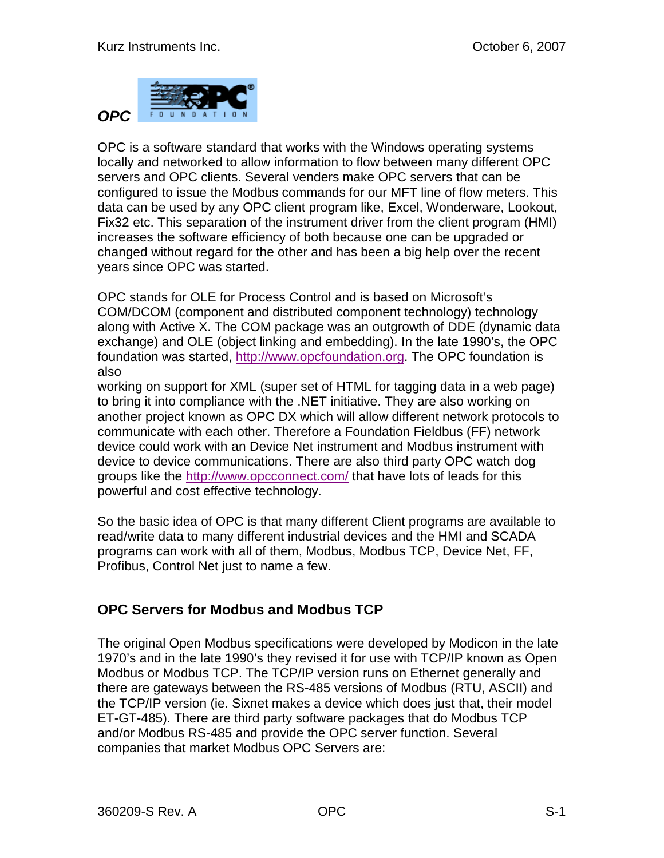

OPC is a software standard that works with the Windows operating systems locally and networked to allow information to flow between many different OPC servers and OPC clients. Several venders make OPC servers that can be configured to issue the Modbus commands for our MFT line of flow meters. This data can be used by any OPC client program like, Excel, Wonderware, Lookout, Fix32 etc. This separation of the instrument driver from the client program (HMI) increases the software efficiency of both because one can be upgraded or changed without regard for the other and has been a big help over the recent years since OPC was started.

OPC stands for OLE for Process Control and is based on Microsoft's COM/DCOM (component and distributed component technology) technology along with Active X. The COM package was an outgrowth of DDE (dynamic data exchange) and OLE (object linking and embedding). In the late 1990's, the OPC foundation was started, [http://www.opcfoundation.org.](http://www.opcfoundation.org/) The OPC foundation is also

working on support for XML (super set of HTML for tagging data in a web page) to bring it into compliance with the .NET initiative. They are also working on another project known as OPC DX which will allow different network protocols to communicate with each other. Therefore a Foundation Fieldbus (FF) network device could work with an Device Net instrument and Modbus instrument with device to device communications. There are also third party OPC watch dog groups like the<http://www.opcconnect.com/> that have lots of leads for this powerful and cost effective technology.

So the basic idea of OPC is that many different Client programs are available to read/write data to many different industrial devices and the HMI and SCADA programs can work with all of them, Modbus, Modbus TCP, Device Net, FF, Profibus, Control Net just to name a few.

## **OPC Servers for Modbus and Modbus TCP**

The original Open Modbus specifications were developed by Modicon in the late 1970's and in the late 1990's they revised it for use with TCP/IP known as Open Modbus or Modbus TCP. The TCP/IP version runs on Ethernet generally and there are gateways between the RS-485 versions of Modbus (RTU, ASCII) and the TCP/IP version (ie. Sixnet makes a device which does just that, their model ET-GT-485). There are third party software packages that do Modbus TCP and/or Modbus RS-485 and provide the OPC server function. Several companies that market Modbus OPC Servers are: